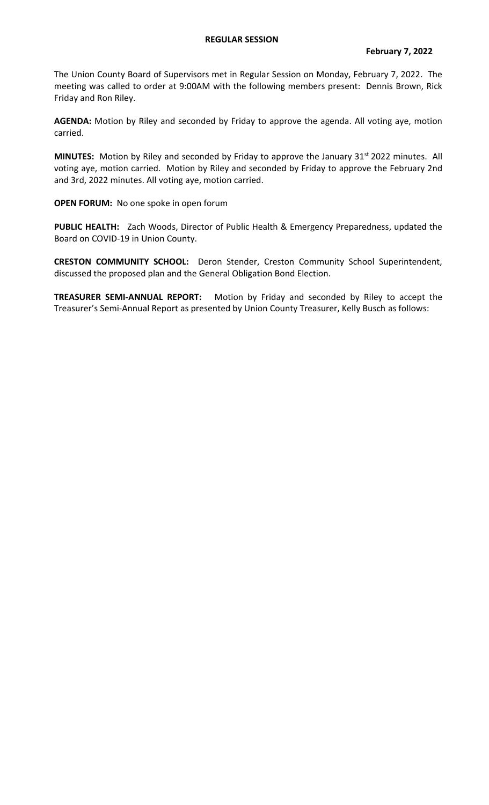## **REGULAR SESSION**

The Union County Board of Supervisors met in Regular Session on Monday, February 7, 2022. The meeting was called to order at 9:00AM with the following members present: Dennis Brown, Rick Friday and Ron Riley.

**AGENDA:** Motion by Riley and seconded by Friday to approve the agenda. All voting aye, motion carried.

MINUTES: Motion by Riley and seconded by Friday to approve the January 31<sup>st</sup> 2022 minutes. All voting aye, motion carried. Motion by Riley and seconded by Friday to approve the February 2nd and 3rd, 2022 minutes. All voting aye, motion carried.

**OPEN FORUM:** No one spoke in open forum

**PUBLIC HEALTH:** Zach Woods, Director of Public Health & Emergency Preparedness, updated the Board on COVID-19 in Union County.

**CRESTON COMMUNITY SCHOOL:** Deron Stender, Creston Community School Superintendent, discussed the proposed plan and the General Obligation Bond Election.

**TREASURER SEMI-ANNUAL REPORT:** Motion by Friday and seconded by Riley to accept the Treasurer's Semi-Annual Report as presented by Union County Treasurer, Kelly Busch as follows: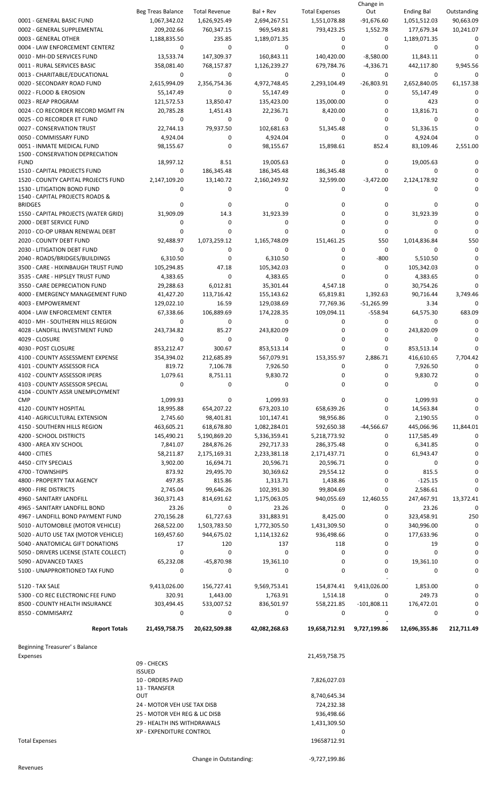|                                                                   |                                   |                            |                            |                            | Change in                |                            |                        |
|-------------------------------------------------------------------|-----------------------------------|----------------------------|----------------------------|----------------------------|--------------------------|----------------------------|------------------------|
|                                                                   | Beg Treas Balance                 | <b>Total Revenue</b>       | Bal + Rev                  | <b>Total Expenses</b>      | Out                      | <b>Ending Bal</b>          | Outstanding            |
| 0001 - GENERAL BASIC FUND<br>0002 - GENERAL SUPPLEMENTAL          | 1,067,342.02<br>209,202.66        | 1,626,925.49<br>760,347.15 | 2,694,267.51<br>969,549.81 | 1,551,078.88<br>793,423.25 | $-91,676.60$<br>1,552.78 | 1,051,512.03<br>177,679.34 | 90,663.09<br>10,241.07 |
| 0003 - GENERAL OTHER                                              | 1,188,835.50                      | 235.85                     | 1,189,071.35               | 0                          | 0                        | 1,189,071.35               | 0                      |
| 0004 - LAW ENFORCEMENT CENTERZ                                    | $\mathbf 0$                       | 0                          | $\mathbf 0$                | 0                          | $\Omega$                 | 0                          | 0                      |
| 0010 - MH-DD SERVICES FUND                                        | 13,533.74                         | 147,309.37                 | 160,843.11                 | 140,420.00                 | $-8,580.00$              | 11,843.11                  | 0                      |
| 0011 - RURAL SERVICES BASIC                                       | 358,081.40                        | 768,157.87                 | 1,126,239.27               | 679,784.76                 | $-4,336.71$              | 442,117.80                 | 9,945.56               |
| 0013 - CHARITABLE/EDUCATIONAL                                     | 0                                 | 0                          | 0                          | 0                          | 0                        | 0                          | 0                      |
| 0020 - SECONDARY ROAD FUND                                        | 2,615,994.09                      | 2,356,754.36               | 4,972,748.45               | 2,293,104.49               | $-26,803.91$             | 2,652,840.05               | 61,157.38              |
| 0022 - FLOOD & EROSION                                            | 55,147.49                         | 0                          | 55,147.49                  | 0                          | 0                        | 55,147.49                  | 0                      |
| 0023 - REAP PROGRAM                                               | 121,572.53                        | 13,850.47                  | 135,423.00                 | 135,000.00                 | 0                        | 423                        | 0                      |
| 0024 - CO RECORDER RECORD MGMT FN                                 | 20,785.28                         | 1,451.43                   | 22,236.71                  | 8,420.00                   | 0                        | 13,816.71                  | 0                      |
| 0025 - CO RECORDER ET FUND                                        | 0                                 | 0                          | 0                          | 0                          | 0                        | 0                          | $\Omega$               |
| 0027 - CONSERVATION TRUST                                         | 22,744.13                         | 79,937.50                  | 102,681.63                 | 51,345.48                  | 0                        | 51,336.15                  | 0                      |
| 0050 - COMMISSARY FUND                                            | 4,924.04                          | 0                          | 4,924.04                   | 0                          | 0                        | 4,924.04                   | 0                      |
| 0051 - INMATE MEDICAL FUND                                        | 98,155.67                         | 0                          | 98,155.67                  | 15,898.61                  | 852.4                    | 83,109.46                  | 2,551.00               |
| 1500 - CONSERVATION DEPRECIATION<br><b>FUND</b>                   | 18,997.12                         | 8.51                       | 19,005.63                  | 0                          | 0                        | 19,005.63                  | 0                      |
| 1510 - CAPITAL PROJECTS FUND                                      | 0                                 | 186,345.48                 | 186,345.48                 | 186,345.48                 | 0                        | 0                          | 0                      |
| 1520 - COUNTY CAPITAL PROJECTS FUND                               | 2,147,109.20                      | 13,140.72                  | 2,160,249.92               | 32,599.00                  | $-3,472.00$              | 2,124,178.92               | 0                      |
| 1530 - LITIGATION BOND FUND                                       | 0                                 | 0                          | 0                          | 0                          | 0                        | $\Omega$                   | 0                      |
| 1540 - CAPITAL PROJECTS ROADS &                                   |                                   |                            |                            |                            |                          |                            |                        |
| <b>BRIDGES</b>                                                    | 0                                 | 0                          | 0                          | 0                          | 0                        | 0                          | 0                      |
| 1550 - CAPITAL PROJECTS (WATER GRID)                              | 31,909.09                         | 14.3                       | 31,923.39                  | 0                          | 0                        | 31,923.39                  | 0                      |
| 2000 - DEBT SERVICE FUND                                          | 0                                 | 0                          | 0                          | 0                          | 0                        | 0                          | $\Omega$               |
| 2010 - CO-OP URBAN RENEWAL DEBT                                   | 0                                 | 0                          | $\Omega$                   | 0                          | 0                        | 0                          | $\Omega$               |
| 2020 - COUNTY DEBT FUND                                           | 92,488.97                         | 1,073,259.12               | 1,165,748.09               | 151,461.25                 | 550                      | 1,014,836.84               | 550                    |
| 2030 - LITIGATION DEBT FUND                                       | 0                                 | 0                          | 0                          | 0                          | 0                        | 0                          | 0                      |
| 2040 - ROADS/BRIDGES/BUILDINGS                                    | 6,310.50                          | 0                          | 6,310.50                   | 0                          | $-800$                   | 5,510.50                   | 0                      |
| 3500 - CARE - HIXINBAUGH TRUST FUND                               | 105,294.85                        | 47.18                      | 105,342.03                 | 0                          | 0                        | 105,342.03                 | 0                      |
| 3535 - CARE - HIPSLEY TRUST FUND                                  | 4,383.65                          | 0                          | 4,383.65                   | $\Omega$                   | 0                        | 4,383.65                   | 0                      |
| 3550 - CARE DEPRECIATION FUND<br>4000 - EMERGENCY MANAGEMENT FUND | 29,288.63                         | 6,012.81                   | 35,301.44                  | 4,547.18                   | 0                        | 30,754.26                  | $\Omega$               |
| 4003 - EMPOWERMENT                                                | 41,427.20<br>129,022.10           | 113,716.42<br>16.59        | 155,143.62<br>129,038.69   | 65,819.81<br>77,769.36     | 1,392.63<br>$-51,265.99$ | 90,716.44<br>3.34          | 3,749.46<br>0          |
| 4004 - LAW ENFORCEMENT CENTER                                     | 67,338.66                         | 106,889.69                 | 174,228.35                 | 109,094.11                 | $-558.94$                | 64,575.30                  | 683.09                 |
| 4010 - MH - SOUTHERN HILLS REGION                                 | 0                                 | 0                          | 0                          | 0                          | 0                        | 0                          | $\Omega$               |
| 4028 - LANDFILL INVESTMENT FUND                                   | 243,734.82                        | 85.27                      | 243,820.09                 | 0                          | 0                        | 243,820.09                 | 0                      |
| 4029 - CLOSURE                                                    | 0                                 | 0                          | 0                          | 0                          | 0                        | 0                          | 0                      |
| 4030 - POST CLOSURE                                               | 853,212.47                        | 300.67                     | 853,513.14                 | 0                          | 0                        | 853,513.14                 | 0                      |
| 4100 - COUNTY ASSESSMENT EXPENSE                                  | 354,394.02                        | 212.685.89                 | 567,079.91                 | 153,355.97                 | 2.886.71                 | 416,610.65                 | 7,704.42               |
| 4101 - COUNTY ASSESSOR FICA                                       | 819.72                            | 7,106.78                   | 7,926.50                   | 0                          | 0                        | 7,926.50                   | 0                      |
| 4102 - COUNTY ASSESSOR IPERS                                      | 1,079.61                          | 8,751.11                   | 9,830.72                   | 0                          | 0                        | 9,830.72                   | 0                      |
| 4103 - COUNTY ASSESSOR SPECIAL                                    | 0                                 | 0                          | 0                          | 0                          | 0                        | 0                          | 0                      |
| 4104 - COUNTY ASSR UNEMPLOYMENT                                   |                                   |                            |                            |                            |                          |                            |                        |
| <b>CMP</b>                                                        | 1,099.93                          | 0                          | 1,099.93                   | 0                          | 0                        | 1,099.93                   | 0                      |
| 4120 - COUNTY HOSPITAL                                            | 18,995.88                         | 654,207.22                 | 673,203.10                 | 658,639.26                 | 0                        | 14,563.84                  | 0                      |
| 4140 - AGRICULTURAL EXTENSION                                     | 2,745.60                          | 98,401.81                  | 101,147.41                 | 98,956.86                  | 0                        | 2,190.55                   | 0                      |
| 4150 - SOUTHERN HILLS REGION                                      | 463,605.21                        | 618,678.80                 | 1,082,284.01               | 592,650.38                 | $-44,566.67$             | 445,066.96                 | 11,844.01              |
| 4200 - SCHOOL DISTRICTS                                           | 145,490.21                        | 5,190,869.20               | 5,336,359.41               | 5,218,773.92               | 0                        | 117,585.49                 | 0                      |
| 4300 - AREA XIV SCHOOL<br>4400 - CITIES                           | 7,841.07<br>58,211.87             | 284,876.26<br>2,175,169.31 | 292,717.33<br>2,233,381.18 | 286,375.48<br>2,171,437.71 | 0<br>0                   | 6,341.85<br>61,943.47      | 0<br>0                 |
| 4450 - CITY SPECIALS                                              | 3,902.00                          | 16,694.71                  | 20,596.71                  | 20,596.71                  | 0                        | 0                          | 0                      |
| 4700 - TOWNSHIPS                                                  | 873.92                            | 29,495.70                  | 30,369.62                  | 29,554.12                  | 0                        | 815.5                      | 0                      |
| 4800 - PROPERTY TAX AGENCY                                        | 497.85                            | 815.86                     | 1,313.71                   | 1,438.86                   | 0                        | $-125.15$                  | 0                      |
| 4900 - FIRE DISTRICTS                                             | 2,745.04                          | 99,646.26                  | 102,391.30                 | 99,804.69                  | 0                        | 2,586.61                   | 0                      |
| 4960 - SANITARY LANDFILL                                          | 360,371.43                        | 814,691.62                 | 1,175,063.05               | 940,055.69                 | 12,460.55                | 247,467.91                 | 13,372.41              |
| 4965 - SANITARY LANDFILL BOND                                     | 23.26                             | 0                          | 23.26                      | 0                          | 0                        | 23.26                      | 0                      |
| 4967 - LANDFILL BOND PAYMENT FUND                                 | 270,156.28                        | 61,727.63                  | 331,883.91                 | 8,425.00                   | 0                        | 323,458.91                 | 250                    |
| 5010 - AUTOMOBILE (MOTOR VEHICLE)                                 | 268,522.00                        | 1,503,783.50               | 1,772,305.50               | 1,431,309.50               | 0                        | 340,996.00                 | 0                      |
| 5020 - AUTO USE TAX (MOTOR VEHICLE)                               | 169,457.60                        | 944,675.02                 | 1,114,132.62               | 936,498.66                 | 0                        | 177,633.96                 | 0                      |
| 5040 - ANATOMICAL GIFT DONATIONS                                  | 17                                | 120                        | 137                        | 118                        | 0                        | 19                         | 0                      |
| 5050 - DRIVERS LICENSE (STATE COLLECT)                            | 0                                 | 0                          | 0                          | 0                          | 0                        | 0                          | 0                      |
| 5090 - ADVANCED TAXES                                             | 65,232.08                         | -45,870.98                 | 19,361.10                  | 0                          | 0                        | 19,361.10                  | 0                      |
| 5100 - UNAPPRORTIONED TAX FUND                                    | 0                                 | 0                          | 0                          | 0                          | 0                        | 0                          | 0                      |
|                                                                   |                                   |                            |                            |                            |                          |                            |                        |
| 5120 - TAX SALE                                                   | 9,413,026.00                      | 156,727.41                 | 9,569,753.41               | 154,874.41                 | 9,413,026.00             | 1,853.00                   | 0                      |
| 5300 - CO REC ELECTRONIC FEE FUND                                 | 320.91                            | 1,443.00                   | 1,763.91                   | 1,514.18                   | 0                        | 249.73                     | 0<br>0                 |
| 8500 - COUNTY HEALTH INSURANCE                                    | 303,494.45<br>0                   | 533,007.52<br>0            | 836,501.97<br>0            | 558,221.85<br>0            | $-101,808.11$<br>0       | 176,472.01<br>0            | 0                      |
| 8550 - COMMISARYZ                                                 |                                   |                            |                            |                            |                          |                            |                        |
| <b>Report Totals</b>                                              | 21,459,758.75                     | 20,622,509.88              | 42,082,268.63              | 19,658,712.91              | 9,727,199.86             | 12,696,355.86              | 212,711.49             |
|                                                                   |                                   |                            |                            |                            |                          |                            |                        |
| Beginning Treasurer's Balance                                     |                                   |                            |                            |                            |                          |                            |                        |
| Expenses                                                          |                                   |                            |                            | 21,459,758.75              |                          |                            |                        |
|                                                                   | 09 - CHECKS                       |                            |                            |                            |                          |                            |                        |
|                                                                   | <b>ISSUED</b>                     |                            |                            |                            |                          |                            |                        |
|                                                                   | 10 - ORDERS PAID<br>13 - TRANSFER |                            |                            | 7,826,027.03               |                          |                            |                        |
|                                                                   | OUT                               |                            |                            | 8,740,645.34               |                          |                            |                        |
|                                                                   | 24 - MOTOR VEH USE TAX DISB       |                            |                            | 724,232.38                 |                          |                            |                        |
|                                                                   | 25 - MOTOR VEH REG & LIC DISB     |                            |                            | 936,498.66                 |                          |                            |                        |
|                                                                   | 29 - HEALTH INS WITHDRAWALS       |                            |                            | 1,431,309.50               |                          |                            |                        |
|                                                                   | XP - EXPENDITURE CONTROL          |                            |                            | 0                          |                          |                            |                        |
| <b>Total Expenses</b>                                             |                                   |                            |                            | 19658712.91                |                          |                            |                        |
|                                                                   |                                   |                            |                            |                            |                          |                            |                        |
|                                                                   |                                   | Change in Outstanding:     |                            | -9,727,199.86              |                          |                            |                        |